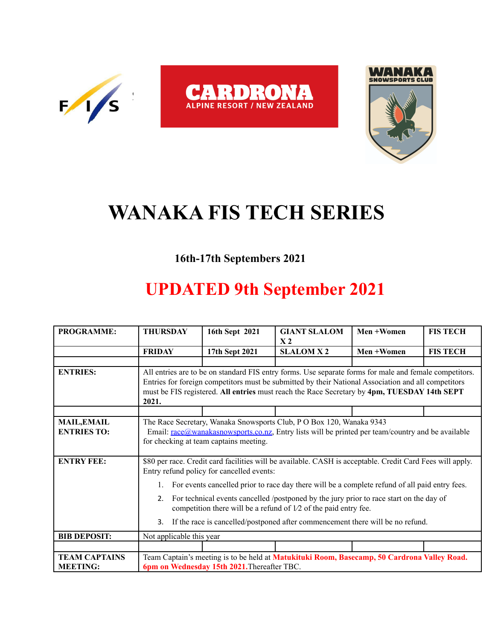





## **WANAKA FIS TECH SERIES**

## **16th-17th Septembers 2021**

## **UPDATED 9th September 2021**

| <b>PROGRAMME:</b>                        | <b>THURSDAY</b>                                                                                                                                                                                                                                                                                                       | 16th Sept 2021 | <b>GIANT SLALOM</b><br>X <sub>2</sub> | Men +Women | <b>FIS TECH</b> |  |  |  |
|------------------------------------------|-----------------------------------------------------------------------------------------------------------------------------------------------------------------------------------------------------------------------------------------------------------------------------------------------------------------------|----------------|---------------------------------------|------------|-----------------|--|--|--|
|                                          | <b>FRIDAY</b>                                                                                                                                                                                                                                                                                                         | 17th Sept 2021 | <b>SLALOM X2</b>                      | Men +Women | <b>FIS TECH</b> |  |  |  |
|                                          |                                                                                                                                                                                                                                                                                                                       |                |                                       |            |                 |  |  |  |
| <b>ENTRIES:</b>                          | All entries are to be on standard FIS entry forms. Use separate forms for male and female competitors.<br>Entries for foreign competitors must be submitted by their National Association and all competitors<br>must be FIS registered. All entries must reach the Race Secretary by 4pm, TUESDAY 14th SEPT<br>2021. |                |                                       |            |                 |  |  |  |
|                                          |                                                                                                                                                                                                                                                                                                                       |                |                                       |            |                 |  |  |  |
| <b>MAIL, EMAIL</b><br><b>ENTRIES TO:</b> | The Race Secretary, Wanaka Snowsports Club, P O Box 120, Wanaka 9343<br>Email: $\text{race@wanakasnowspots.co.nz}$ , Entry lists will be printed per team/country and be available<br>for checking at team captains meeting.                                                                                          |                |                                       |            |                 |  |  |  |
| <b>ENTRY FEE:</b>                        | \$80 per race. Credit card facilities will be available. CASH is acceptable. Credit Card Fees will apply.<br>Entry refund policy for cancelled events:                                                                                                                                                                |                |                                       |            |                 |  |  |  |
|                                          | For events cancelled prior to race day there will be a complete refund of all paid entry fees.<br>$1_{\cdot}$                                                                                                                                                                                                         |                |                                       |            |                 |  |  |  |
|                                          | For technical events cancelled /postponed by the jury prior to race start on the day of<br>2.<br>competition there will be a refund of $1/2$ of the paid entry fee.<br>If the race is cancelled/postponed after commencement there will be no refund.<br>3.                                                           |                |                                       |            |                 |  |  |  |
|                                          |                                                                                                                                                                                                                                                                                                                       |                |                                       |            |                 |  |  |  |
| <b>BIB DEPOSIT:</b>                      | Not applicable this year                                                                                                                                                                                                                                                                                              |                |                                       |            |                 |  |  |  |
|                                          |                                                                                                                                                                                                                                                                                                                       |                |                                       |            |                 |  |  |  |
| <b>TEAM CAPTAINS</b><br><b>MEETING:</b>  | Team Captain's meeting is to be held at Matukituki Room, Basecamp, 50 Cardrona Valley Road.<br>6pm on Wednesday 15th 2021. Thereafter TBC.                                                                                                                                                                            |                |                                       |            |                 |  |  |  |